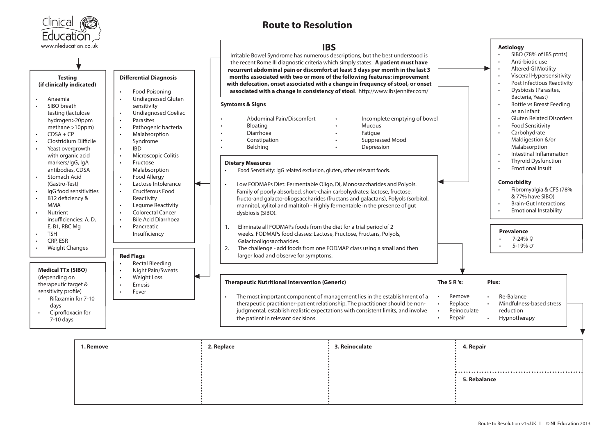

## **Route to Resolution**



| 1. Remove | 2. Replace | 3. Reinoculate | 4. Repair    |
|-----------|------------|----------------|--------------|
|           |            |                |              |
|           |            |                |              |
|           |            |                | 5. Rebalance |
|           |            |                |              |
|           |            |                |              |